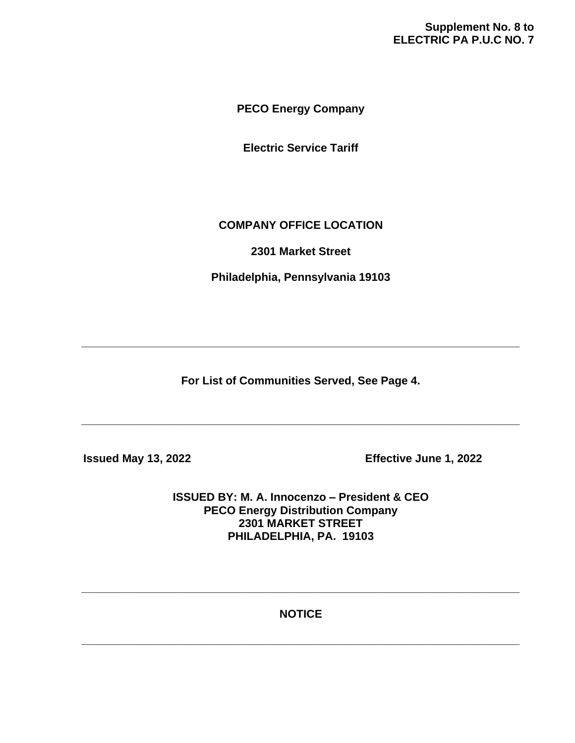# **Supplement No. 8 to ELECTRIC PA P.U.C NO. 7**

**PECO Energy Company**

**Electric Service Tariff**

# **COMPANY OFFICE LOCATION**

**2301 Market Street**

**Philadelphia, Pennsylvania 19103**

**For List of Communities Served, See Page 4.**

**\_\_\_\_\_\_\_\_\_\_\_\_\_\_\_\_\_\_\_\_\_\_\_\_\_\_\_\_\_\_\_\_\_\_\_\_\_\_\_\_\_\_\_\_\_\_\_\_\_\_\_\_\_\_\_\_\_\_\_\_\_\_\_\_\_\_\_\_\_\_**

**\_\_\_\_\_\_\_\_\_\_\_\_\_\_\_\_\_\_\_\_\_\_\_\_\_\_\_\_\_\_\_\_\_\_\_\_\_\_\_\_\_\_\_\_\_\_\_\_\_\_\_\_\_\_\_\_\_\_\_\_\_\_\_\_\_\_\_\_\_\_**

 **Issued May 13, 2022 Effective June 1, 2022**

**ISSUED BY: M. A. Innocenzo – President & CEO PECO Energy Distribution Company 2301 MARKET STREET PHILADELPHIA, PA. 19103**

**NOTICE**

**\_\_\_\_\_\_\_\_\_\_\_\_\_\_\_\_\_\_\_\_\_\_\_\_\_\_\_\_\_\_\_\_\_\_\_\_\_\_\_\_\_\_\_\_\_\_\_\_\_\_\_\_\_\_\_\_\_\_\_\_\_\_\_\_\_\_\_\_\_\_**

**\_\_\_\_\_\_\_\_\_\_\_\_\_\_\_\_\_\_\_\_\_\_\_\_\_\_\_\_\_\_\_\_\_\_\_\_\_\_\_\_\_\_\_\_\_\_\_\_\_\_\_\_\_\_\_\_\_\_\_\_\_\_\_\_\_\_\_\_\_\_**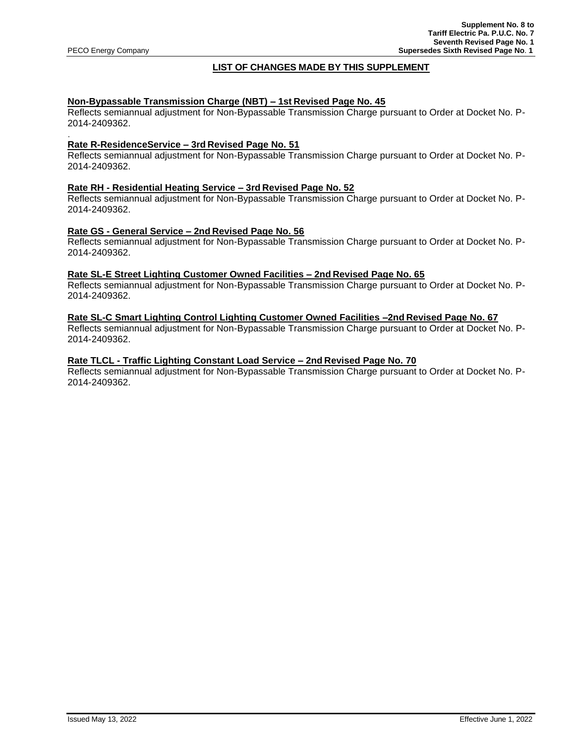.

## **LIST OF CHANGES MADE BY THIS SUPPLEMENT**

## **Non-Bypassable Transmission Charge (NBT) – 1st Revised Page No. 45**

Reflects semiannual adjustment for Non-Bypassable Transmission Charge pursuant to Order at Docket No. P-2014-2409362.

## **Rate R-ResidenceService – 3rd Revised Page No. 51**

Reflects semiannual adjustment for Non-Bypassable Transmission Charge pursuant to Order at Docket No. P-2014-2409362.

## **Rate RH - Residential Heating Service – 3rd Revised Page No. 52**

Reflects semiannual adjustment for Non-Bypassable Transmission Charge pursuant to Order at Docket No. P-2014-2409362.

## **Rate GS - General Service – 2nd Revised Page No. 56**

Reflects semiannual adjustment for Non-Bypassable Transmission Charge pursuant to Order at Docket No. P-2014-2409362.

## **Rate SL-E Street Lighting Customer Owned Facilities – 2nd Revised Page No. 65**

Reflects semiannual adjustment for Non-Bypassable Transmission Charge pursuant to Order at Docket No. P-2014-2409362.

## **Rate SL-C Smart Lighting Control Lighting Customer Owned Facilities –2nd Revised Page No. 67**

Reflects semiannual adjustment for Non-Bypassable Transmission Charge pursuant to Order at Docket No. P-2014-2409362.

## **Rate TLCL - Traffic Lighting Constant Load Service – 2nd Revised Page No. 70**

Reflects semiannual adjustment for Non-Bypassable Transmission Charge pursuant to Order at Docket No. P-2014-2409362.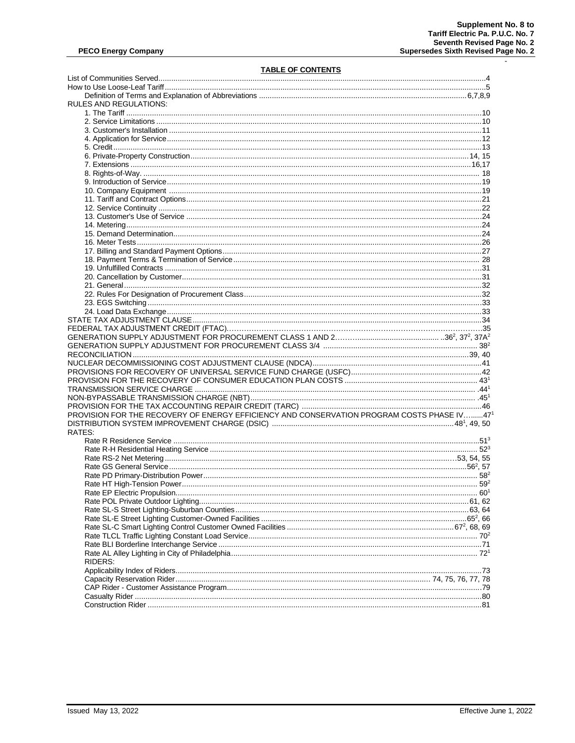$\sim$ 

## **TABLE OF CONTENTS**

| <b>I ADLE UP CUNTENTS</b>                                                                  |  |
|--------------------------------------------------------------------------------------------|--|
|                                                                                            |  |
|                                                                                            |  |
| RULES AND REGULATIONS:                                                                     |  |
|                                                                                            |  |
|                                                                                            |  |
|                                                                                            |  |
|                                                                                            |  |
|                                                                                            |  |
|                                                                                            |  |
|                                                                                            |  |
|                                                                                            |  |
|                                                                                            |  |
|                                                                                            |  |
|                                                                                            |  |
|                                                                                            |  |
|                                                                                            |  |
|                                                                                            |  |
|                                                                                            |  |
|                                                                                            |  |
|                                                                                            |  |
|                                                                                            |  |
|                                                                                            |  |
|                                                                                            |  |
|                                                                                            |  |
|                                                                                            |  |
|                                                                                            |  |
|                                                                                            |  |
|                                                                                            |  |
|                                                                                            |  |
|                                                                                            |  |
|                                                                                            |  |
|                                                                                            |  |
|                                                                                            |  |
|                                                                                            |  |
|                                                                                            |  |
|                                                                                            |  |
|                                                                                            |  |
|                                                                                            |  |
| PROVISION FOR THE RECOVERY OF ENERGY EFFICIENCY AND CONSERVATION PROGRAM COSTS PHASE IV471 |  |
|                                                                                            |  |
| RATES:                                                                                     |  |
|                                                                                            |  |
|                                                                                            |  |
|                                                                                            |  |
|                                                                                            |  |
|                                                                                            |  |
|                                                                                            |  |
|                                                                                            |  |
|                                                                                            |  |
|                                                                                            |  |
|                                                                                            |  |
|                                                                                            |  |
|                                                                                            |  |
|                                                                                            |  |
| RIDERS:                                                                                    |  |
|                                                                                            |  |
|                                                                                            |  |
|                                                                                            |  |
|                                                                                            |  |
|                                                                                            |  |
|                                                                                            |  |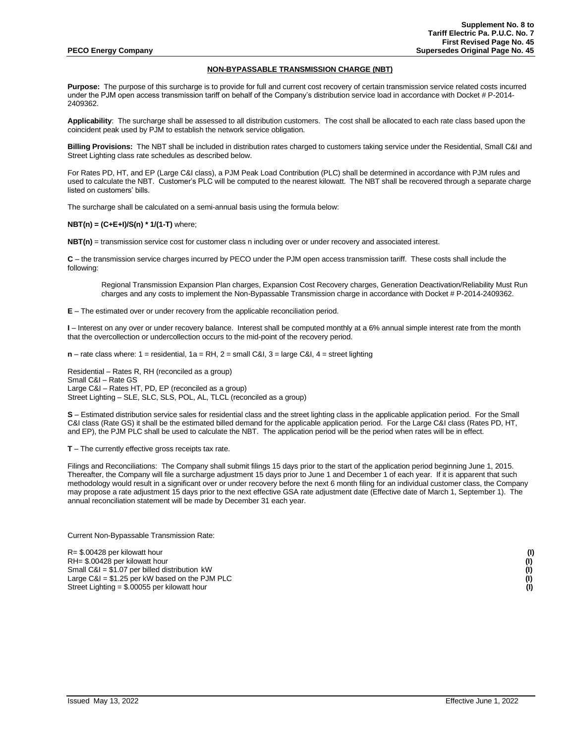#### **NON-BYPASSABLE TRANSMISSION CHARGE (NBT)**

**Purpose:** The purpose of this surcharge is to provide for full and current cost recovery of certain transmission service related costs incurred under the PJM open access transmission tariff on behalf of the Company's distribution service load in accordance with Docket # P-2014- 2409362.

**Applicability**: The surcharge shall be assessed to all distribution customers. The cost shall be allocated to each rate class based upon the coincident peak used by PJM to establish the network service obligation.

**Billing Provisions:** The NBT shall be included in distribution rates charged to customers taking service under the Residential, Small C&I and Street Lighting class rate schedules as described below.

For Rates PD, HT, and EP (Large C&I class), a PJM Peak Load Contribution (PLC) shall be determined in accordance with PJM rules and used to calculate the NBT. Customer's PLC will be computed to the nearest kilowatt. The NBT shall be recovered through a separate charge listed on customers' bills.

The surcharge shall be calculated on a semi-annual basis using the formula below:

#### **NBT(n) = (C+E+I)/S(n) \* 1/(1-T)** where;

**NBT(n)** = transmission service cost for customer class n including over or under recovery and associated interest.

**C** – the transmission service charges incurred by PECO under the PJM open access transmission tariff. These costs shall include the following:

Regional Transmission Expansion Plan charges, Expansion Cost Recovery charges, Generation Deactivation/Reliability Must Run charges and any costs to implement the Non-Bypassable Transmission charge in accordance with Docket # P-2014-2409362.

**E** – The estimated over or under recovery from the applicable reconciliation period.

**I** – Interest on any over or under recovery balance. Interest shall be computed monthly at a 6% annual simple interest rate from the month that the overcollection or undercollection occurs to the mid-point of the recovery period.

**n** – rate class where: 1 = residential, 1a = RH, 2 = small C&I, 3 = large C&I, 4 = street lighting

Residential – Rates R, RH (reconciled as a group) Small C&I – Rate GS Large C&I – Rates HT, PD, EP (reconciled as a group) Street Lighting – SLE, SLC, SLS, POL, AL, TLCL (reconciled as a group)

**S** – Estimated distribution service sales for residential class and the street lighting class in the applicable application period. For the Small C&I class (Rate GS) it shall be the estimated billed demand for the applicable application period. For the Large C&I class (Rates PD, HT, and EP), the PJM PLC shall be used to calculate the NBT. The application period will be the period when rates will be in effect.

**T** – The currently effective gross receipts tax rate.

Filings and Reconciliations: The Company shall submit filings 15 days prior to the start of the application period beginning June 1, 2015. Thereafter, the Company will file a surcharge adjustment 15 days prior to June 1 and December 1 of each year. If it is apparent that such methodology would result in a significant over or under recovery before the next 6 month filing for an individual customer class, the Company may propose a rate adjustment 15 days prior to the next effective GSA rate adjustment date (Effective date of March 1, September 1). The annual reconciliation statement will be made by December 31 each year.

Current Non-Bypassable Transmission Rate:

R= \$.00428 per kilowatt hour **(I)**<br>RH= \$.00428 per kilowatt hour **(I) (I) (I) (I) (I) (I) (I) (I) (I) (I) (I) (I) (I) (I) (I) (I) (I) (I) (I) (I) (I) (I) (I) (I) (I) (I)** RH= \$.00428 per kilowatt hour **(I)**<br>
Small C&I = \$1.07 per billed distribution kW<br>
Large C&I = \$1.25 per kW based on the PJM PLC **(I)** (1) **and the contract of the C** Small C&I = \$1.07 per billed distribution kW Large C&I = \$1.25 per kW based on the PJM PLC Street Lighting = \$.00055 per kilowatt hour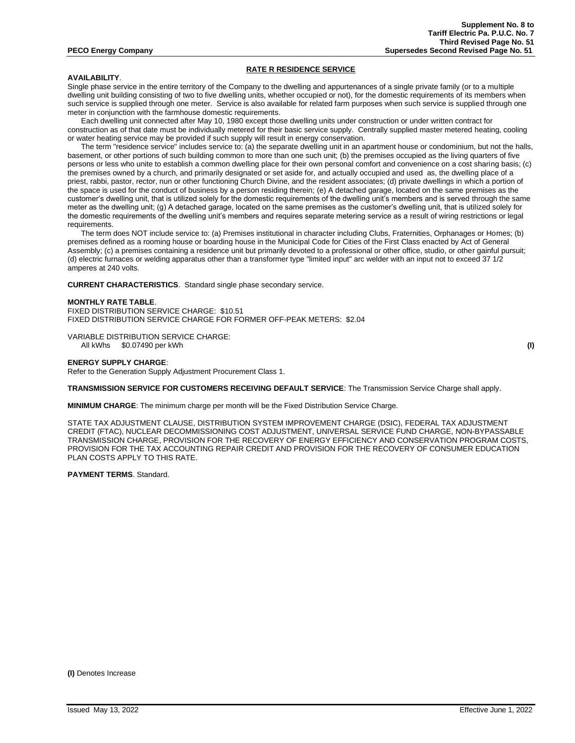#### **RATE R RESIDENCE SERVICE**

## **AVAILABILITY**.

Single phase service in the entire territory of the Company to the dwelling and appurtenances of a single private family (or to a multiple dwelling unit building consisting of two to five dwelling units, whether occupied or not), for the domestic requirements of its members when such service is supplied through one meter. Service is also available for related farm purposes when such service is supplied through one meter in conjunction with the farmhouse domestic requirements.

Each dwelling unit connected after May 10, 1980 except those dwelling units under construction or under written contract for construction as of that date must be individually metered for their basic service supply. Centrally supplied master metered heating, cooling or water heating service may be provided if such supply will result in energy conservation.

The term "residence service" includes service to: (a) the separate dwelling unit in an apartment house or condominium, but not the halls, basement, or other portions of such building common to more than one such unit; (b) the premises occupied as the living quarters of five persons or less who unite to establish a common dwelling place for their own personal comfort and convenience on a cost sharing basis; (c) the premises owned by a church, and primarily designated or set aside for, and actually occupied and used as, the dwelling place of a priest, rabbi, pastor, rector, nun or other functioning Church Divine, and the resident associates; (d) private dwellings in which a portion of the space is used for the conduct of business by a person residing therein; (e) A detached garage, located on the same premises as the customer's dwelling unit, that is utilized solely for the domestic requirements of the dwelling unit's members and is served through the same meter as the dwelling unit; (g) A detached garage, located on the same premises as the customer's dwelling unit, that is utilized solely for the domestic requirements of the dwelling unit's members and requires separate metering service as a result of wiring restrictions or legal requirements.

The term does NOT include service to: (a) Premises institutional in character including Clubs, Fraternities, Orphanages or Homes; (b) premises defined as a rooming house or boarding house in the Municipal Code for Cities of the First Class enacted by Act of General Assembly; (c) a premises containing a residence unit but primarily devoted to a professional or other office, studio, or other gainful pursuit; (d) electric furnaces or welding apparatus other than a transformer type "limited input" arc welder with an input not to exceed 37 1/2 amperes at 240 volts.

**CURRENT CHARACTERISTICS**. Standard single phase secondary service.

#### **MONTHLY RATE TABLE**.

FIXED DISTRIBUTION SERVICE CHARGE: \$10.51 FIXED DISTRIBUTION SERVICE CHARGE FOR FORMER OFF-PEAK METERS: \$2.04

VARIABLE DISTRIBUTION SERVICE CHARGE: All kWhs \$0.07490 per kWh **(I)**

### **ENERGY SUPPLY CHARGE**:

Refer to the Generation Supply Adjustment Procurement Class 1.

**TRANSMISSION SERVICE FOR CUSTOMERS RECEIVING DEFAULT SERVICE**: The Transmission Service Charge shall apply.

**MINIMUM CHARGE**: The minimum charge per month will be the Fixed Distribution Service Charge.

STATE TAX ADJUSTMENT CLAUSE, DISTRIBUTION SYSTEM IMPROVEMENT CHARGE (DSIC), FEDERAL TAX ADJUSTMENT CREDIT (FTAC), NUCLEAR DECOMMISSIONING COST ADJUSTMENT, UNIVERSAL SERVICE FUND CHARGE, NON-BYPASSABLE TRANSMISSION CHARGE, PROVISION FOR THE RECOVERY OF ENERGY EFFICIENCY AND CONSERVATION PROGRAM COSTS, PROVISION FOR THE TAX ACCOUNTING REPAIR CREDIT AND PROVISION FOR THE RECOVERY OF CONSUMER EDUCATION PLAN COSTS APPLY TO THIS RATE.

#### **PAYMENT TERMS**. Standard.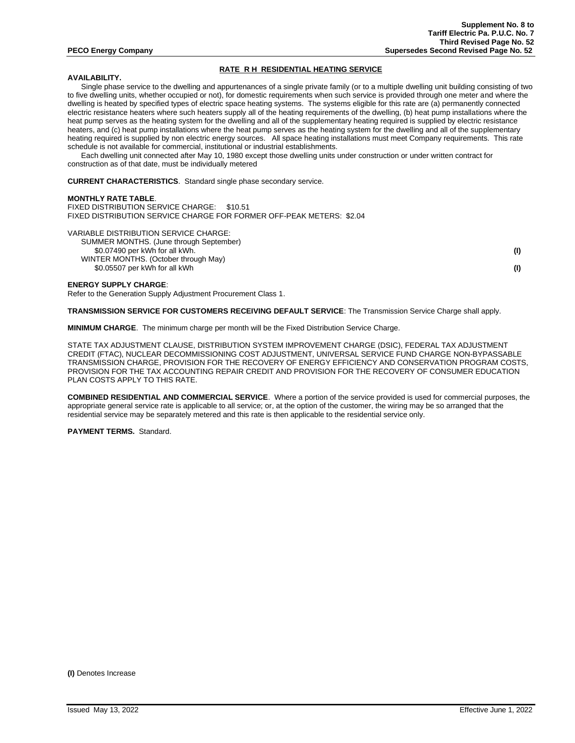### **RATE R H RESIDENTIAL HEATING SERVICE**

## **AVAILABILITY.**

Single phase service to the dwelling and appurtenances of a single private family (or to a multiple dwelling unit building consisting of two to five dwelling units, whether occupied or not), for domestic requirements when such service is provided through one meter and where the dwelling is heated by specified types of electric space heating systems. The systems eligible for this rate are (a) permanently connected electric resistance heaters where such heaters supply all of the heating requirements of the dwelling, (b) heat pump installations where the heat pump serves as the heating system for the dwelling and all of the supplementary heating required is supplied by electric resistance heaters, and (c) heat pump installations where the heat pump serves as the heating system for the dwelling and all of the supplementary heating required is supplied by non electric energy sources. All space heating installations must meet Company requirements. This rate schedule is not available for commercial, institutional or industrial establishments.

Each dwelling unit connected after May 10, 1980 except those dwelling units under construction or under written contract for construction as of that date, must be individually metered

**CURRENT CHARACTERISTICS**. Standard single phase secondary service.

#### **MONTHLY RATE TABLE**.

FIXED DISTRIBUTION SERVICE CHARGE: \$10.51 FIXED DISTRIBUTION SERVICE CHARGE FOR FORMER OFF-PEAK METERS: \$2.04

VARIABLE DISTRIBUTION SERVICE CHARGE:

SUMMER MONTHS. (June through September) \$0.07490 per kWh for all kWh. **(I)** WINTER MONTHS. (October through May)

\$0.05507 per kWh for all kWh **(I)**

#### **ENERGY SUPPLY CHARGE**:

Refer to the Generation Supply Adjustment Procurement Class 1.

**TRANSMISSION SERVICE FOR CUSTOMERS RECEIVING DEFAULT SERVICE**: The Transmission Service Charge shall apply.

**MINIMUM CHARGE**. The minimum charge per month will be the Fixed Distribution Service Charge.

STATE TAX ADJUSTMENT CLAUSE, DISTRIBUTION SYSTEM IMPROVEMENT CHARGE (DSIC), FEDERAL TAX ADJUSTMENT CREDIT (FTAC), NUCLEAR DECOMMISSIONING COST ADJUSTMENT, UNIVERSAL SERVICE FUND CHARGE NON-BYPASSABLE TRANSMISSION CHARGE, PROVISION FOR THE RECOVERY OF ENERGY EFFICIENCY AND CONSERVATION PROGRAM COSTS, PROVISION FOR THE TAX ACCOUNTING REPAIR CREDIT AND PROVISION FOR THE RECOVERY OF CONSUMER EDUCATION PLAN COSTS APPLY TO THIS RATE.

**COMBINED RESIDENTIAL AND COMMERCIAL SERVICE**. Where a portion of the service provided is used for commercial purposes, the appropriate general service rate is applicable to all service; or, at the option of the customer, the wiring may be so arranged that the residential service may be separately metered and this rate is then applicable to the residential service only.

**PAYMENT TERMS.** Standard.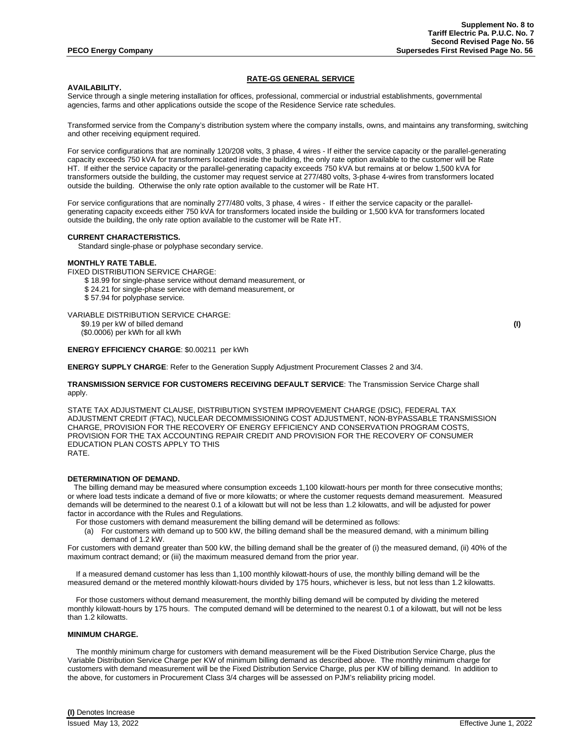### **RATE-GS GENERAL SERVICE**

### **AVAILABILITY.**

Service through a single metering installation for offices, professional, commercial or industrial establishments, governmental agencies, farms and other applications outside the scope of the Residence Service rate schedules.

Transformed service from the Company's distribution system where the company installs, owns, and maintains any transforming, switching and other receiving equipment required.

For service configurations that are nominally 120/208 volts, 3 phase, 4 wires - If either the service capacity or the parallel-generating capacity exceeds 750 kVA for transformers located inside the building, the only rate option available to the customer will be Rate HT. If either the service capacity or the parallel-generating capacity exceeds 750 kVA but remains at or below 1,500 kVA for transformers outside the building, the customer may request service at 277/480 volts, 3-phase 4-wires from transformers located outside the building. Otherwise the only rate option available to the customer will be Rate HT.

For service configurations that are nominally 277/480 volts, 3 phase, 4 wires - If either the service capacity or the parallelgenerating capacity exceeds either 750 kVA for transformers located inside the building or 1,500 kVA for transformers located outside the building, the only rate option available to the customer will be Rate HT.

#### **CURRENT CHARACTERISTICS.**

Standard single-phase or polyphase secondary service.

## **MONTHLY RATE TABLE.**

FIXED DISTRIBUTION SERVICE CHARGE:

\$ 18.99 for single-phase service without demand measurement, or

- \$ 24.21 for single-phase service with demand measurement, or
- \$ 57.94 for polyphase service.

VARIABLE DISTRIBUTION SERVICE CHARGE:

 \$9.19 per kW of billed demand **(I)** (\$0.0006) per kWh for all kWh

### **ENERGY EFFICIENCY CHARGE**: \$0.00211 per kWh

**ENERGY SUPPLY CHARGE**: Refer to the Generation Supply Adjustment Procurement Classes 2 and 3/4.

#### **TRANSMISSION SERVICE FOR CUSTOMERS RECEIVING DEFAULT SERVICE**: The Transmission Service Charge shall apply.

STATE TAX ADJUSTMENT CLAUSE, DISTRIBUTION SYSTEM IMPROVEMENT CHARGE (DSIC), FEDERAL TAX ADJUSTMENT CREDIT (FTAC), NUCLEAR DECOMMISSIONING COST ADJUSTMENT, NON-BYPASSABLE TRANSMISSION CHARGE, PROVISION FOR THE RECOVERY OF ENERGY EFFICIENCY AND CONSERVATION PROGRAM COSTS, PROVISION FOR THE TAX ACCOUNTING REPAIR CREDIT AND PROVISION FOR THE RECOVERY OF CONSUMER EDUCATION PLAN COSTS APPLY TO THIS RATE.

### **DETERMINATION OF DEMAND.**

 The billing demand may be measured where consumption exceeds 1,100 kilowatt-hours per month for three consecutive months; or where load tests indicate a demand of five or more kilowatts; or where the customer requests demand measurement. Measured demands will be determined to the nearest 0.1 of a kilowatt but will not be less than 1.2 kilowatts, and will be adjusted for power factor in accordance with the Rules and Regulations.

For those customers with demand measurement the billing demand will be determined as follows:

(a) For customers with demand up to 500 kW, the billing demand shall be the measured demand, with a minimum billing demand of 1.2 kW.

For customers with demand greater than 500 kW, the billing demand shall be the greater of (i) the measured demand, (ii) 40% of the maximum contract demand; or (iii) the maximum measured demand from the prior year.

If a measured demand customer has less than 1,100 monthly kilowatt-hours of use, the monthly billing demand will be the measured demand or the metered monthly kilowatt-hours divided by 175 hours, whichever is less, but not less than 1.2 kilowatts.

 For those customers without demand measurement, the monthly billing demand will be computed by dividing the metered monthly kilowatt-hours by 175 hours. The computed demand will be determined to the nearest 0.1 of a kilowatt, but will not be less than 1.2 kilowatts.

#### **MINIMUM CHARGE.**

The monthly minimum charge for customers with demand measurement will be the Fixed Distribution Service Charge, plus the Variable Distribution Service Charge per KW of minimum billing demand as described above. The monthly minimum charge for customers with demand measurement will be the Fixed Distribution Service Charge, plus per KW of billing demand. In addition to the above, for customers in Procurement Class 3/4 charges will be assessed on PJM's reliability pricing model.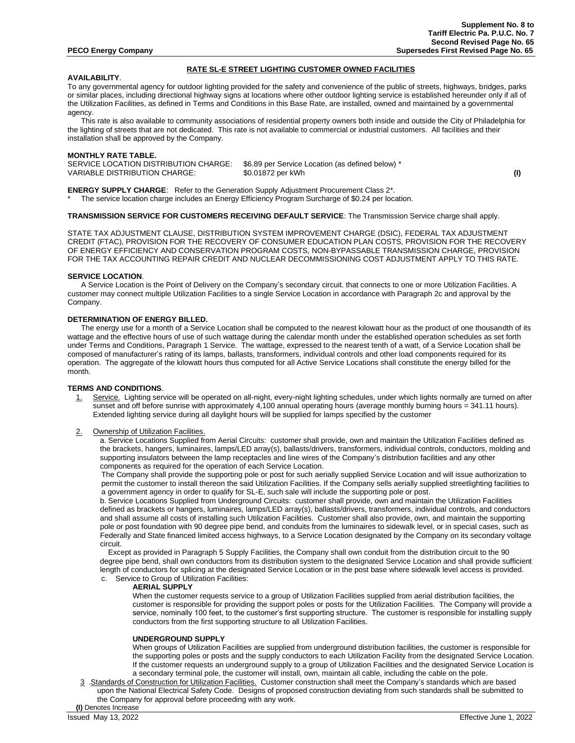#### **RATE SL-E STREET LIGHTING CUSTOMER OWNED FACILITIES**

## **AVAILABILITY**.

To any governmental agency for outdoor lighting provided for the safety and convenience of the public of streets, highways, bridges, parks or similar places, including directional highway signs at locations where other outdoor lighting service is established hereunder only if all of the Utilization Facilities, as defined in Terms and Conditions in this Base Rate, are installed, owned and maintained by a governmental agency.

 This rate is also available to community associations of residential property owners both inside and outside the City of Philadelphia for the lighting of streets that are not dedicated. This rate is not available to commercial or industrial customers. All facilities and their installation shall be approved by the Company.

#### **MONTHLY RATE TABLE.**

| SERVICE LOCATION DISTRIBUTION CHARGE: \$6.89 per Service Location (as defined below) * |                   |  |
|----------------------------------------------------------------------------------------|-------------------|--|
| VARIABLE DISTRIBUTION CHARGE:                                                          | \$0.01872 per kWh |  |

**ENERGY SUPPLY CHARGE**: Refer to the Generation Supply Adjustment Procurement Class 2\*. The service location charge includes an Energy Efficiency Program Surcharge of \$0.24 per location.

#### **TRANSMISSION SERVICE FOR CUSTOMERS RECEIVING DEFAULT SERVICE**: The Transmission Service charge shall apply.

STATE TAX ADJUSTMENT CLAUSE, DISTRIBUTION SYSTEM IMPROVEMENT CHARGE (DSIC), FEDERAL TAX ADJUSTMENT CREDIT (FTAC), PROVISION FOR THE RECOVERY OF CONSUMER EDUCATION PLAN COSTS, PROVISION FOR THE RECOVERY OF ENERGY EFFICIENCY AND CONSERVATION PROGRAM COSTS, NON-BYPASSABLE TRANSMISSION CHARGE, PROVISION FOR THE TAX ACCOUNTING REPAIR CREDIT AND NUCLEAR DECOMMISSIONING COST ADJUSTMENT APPLY TO THIS RATE.

#### **SERVICE LOCATION**.

A Service Location is the Point of Delivery on the Company's secondary circuit. that connects to one or more Utilization Facilities. A customer may connect multiple Utilization Facilities to a single Service Location in accordance with Paragraph 2c and approval by the Company.

### **DETERMINATION OF ENERGY BILLED.**

The energy use for a month of a Service Location shall be computed to the nearest kilowatt hour as the product of one thousandth of its wattage and the effective hours of use of such wattage during the calendar month under the established operation schedules as set forth under Terms and Conditions, Paragraph 1 Service. The wattage, expressed to the nearest tenth of a watt, of a Service Location shall be composed of manufacturer's rating of its lamps, ballasts, transformers, individual controls and other load components required for its operation. The aggregate of the kilowatt hours thus computed for all Active Service Locations shall constitute the energy billed for the month.

#### **TERMS AND CONDITIONS**.

- 1. Service. Lighting service will be operated on all-night, every-night lighting schedules, under which lights normally are turned on after sunset and off before sunrise with approximately  $4,100$  annual operating hours (average monthly burning hours = 341.11 hours). Extended lighting service during all daylight hours will be supplied for lamps specified by the customer
- 2. Ownership of Utilization Facilities.

a. Service Locations Supplied from Aerial Circuits: customer shall provide, own and maintain the Utilization Facilities defined as the brackets, hangers, luminaires, lamps/LED array(s), ballasts/drivers, transformers, individual controls, conductors, molding and supporting insulators between the lamp receptacles and line wires of the Company's distribution facilities and any other components as required for the operation of each Service Location.

The Company shall provide the supporting pole or post for such aerially supplied Service Location and will issue authorization to permit the customer to install thereon the said Utilization Facilities. If the Company sells aerially supplied streetlighting facilities to a government agency in order to qualify for SL-E, such sale will include the supporting pole or post.

b. Service Locations Supplied from Underground Circuits: customer shall provide, own and maintain the Utilization Facilities defined as brackets or hangers, luminaires, lamps/LED array(s), ballasts/drivers, transformers, individual controls, and conductors and shall assume all costs of installing such Utilization Facilities. Customer shall also provide, own, and maintain the supporting pole or post foundation with 90 degree pipe bend, and conduits from the luminaires to sidewalk level, or in special cases, such as Federally and State financed limited access highways, to a Service Location designated by the Company on its secondary voltage circuit.

Except as provided in Paragraph 5 Supply Facilities, the Company shall own conduit from the distribution circuit to the 90 degree pipe bend, shall own conductors from its distribution system to the designated Service Location and shall provide sufficient length of conductors for splicing at the designated Service Location or in the post base where sidewalk level access is provided. c. Service to Group of Utilization Facilities:

#### **AERIAL SUPPLY**

When the customer requests service to a group of Utilization Facilities supplied from aerial distribution facilities, the customer is responsible for providing the support poles or posts for the Utilization Facilities. The Company will provide a service, nominally 100 feet, to the customer's first supporting structure. The customer is responsible for installing supply conductors from the first supporting structure to all Utilization Facilities.

### **UNDERGROUND SUPPLY**

When groups of Utilization Facilities are supplied from underground distribution facilities, the customer is responsible for the supporting poles or posts and the supply conductors to each Utilization Facility from the designated Service Location. If the customer requests an underground supply to a group of Utilization Facilities and the designated Service Location is a secondary terminal pole, the customer will install, own, maintain all cable, including the cable on the pole.

3 .Standards of Construction for Utilization Facilities. Customer construction shall meet the Company's standards which are based upon the National Electrical Safety Code. Designs of proposed construction deviating from such standards shall be submitted to the Company for approval before proceeding with any work. **(I)** Denotes Increase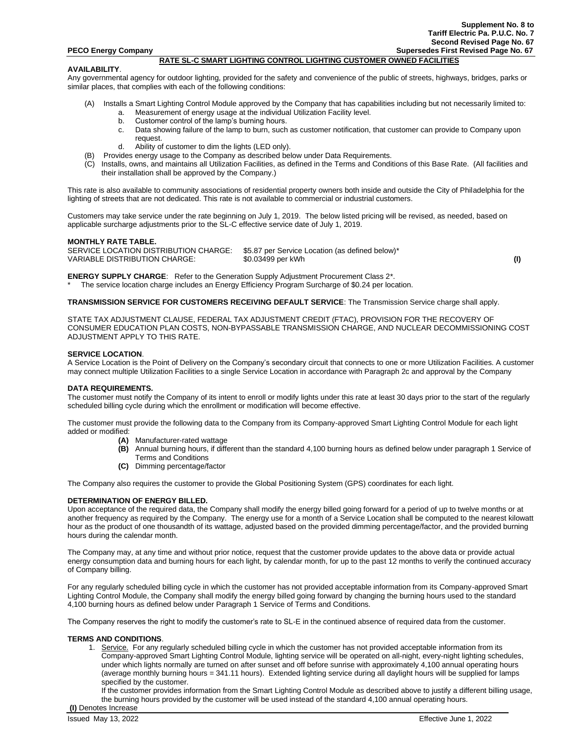#### **RATE SL-C SMART LIGHTING CONTROL LIGHTING CUSTOMER OWNED FACILITIES**

#### **AVAILABILITY**.

Any governmental agency for outdoor lighting, provided for the safety and convenience of the public of streets, highways, bridges, parks or similar places, that complies with each of the following conditions:

- (A) Installs a Smart Lighting Control Module approved by the Company that has capabilities including but not necessarily limited to:
	- a. Measurement of energy usage at the individual Utilization Facility level.
	- b. Customer control of the lamp's burning hours.
	- c. Data showing failure of the lamp to burn, such as customer notification, that customer can provide to Company upon request.
	- d. Ability of customer to dim the lights (LED only).
- (B) Provides energy usage to the Company as described below under Data Requirements.
- (C) Installs, owns, and maintains all Utilization Facilities, as defined in the Terms and Conditions of this Base Rate. (All facilities and their installation shall be approved by the Company.)

This rate is also available to community associations of residential property owners both inside and outside the City of Philadelphia for the lighting of streets that are not dedicated. This rate is not available to commercial or industrial customers.

Customers may take service under the rate beginning on July 1, 2019. The below listed pricing will be revised, as needed, based on applicable surcharge adjustments prior to the SL-C effective service date of July 1, 2019.

#### **MONTHLY RATE TABLE.**

SERVICE LOCATION DISTRIBUTION CHARGE: \$5.87 per Service Location (as defined below)\*<br>VARIABLE DISTRIBUTION CHARGE: \$0.03499 per kWh VARIABLE DISTRIBUTION CHARGE: \$0.03499 per kWh **(I)**

**ENERGY SUPPLY CHARGE**: Refer to the Generation Supply Adjustment Procurement Class 2\*. The service location charge includes an Energy Efficiency Program Surcharge of \$0.24 per location.

**TRANSMISSION SERVICE FOR CUSTOMERS RECEIVING DEFAULT SERVICE**: The Transmission Service charge shall apply.

STATE TAX ADJUSTMENT CLAUSE, FEDERAL TAX ADJUSTMENT CREDIT (FTAC), PROVISION FOR THE RECOVERY OF CONSUMER EDUCATION PLAN COSTS, NON-BYPASSABLE TRANSMISSION CHARGE, AND NUCLEAR DECOMMISSIONING COST ADJUSTMENT APPLY TO THIS RATE.

#### **SERVICE LOCATION**.

A Service Location is the Point of Delivery on the Company's secondary circuit that connects to one or more Utilization Facilities. A customer may connect multiple Utilization Facilities to a single Service Location in accordance with Paragraph 2c and approval by the Company

#### **DATA REQUIREMENTS.**

The customer must notify the Company of its intent to enroll or modify lights under this rate at least 30 days prior to the start of the regularly scheduled billing cycle during which the enrollment or modification will become effective.

The customer must provide the following data to the Company from its Company-approved Smart Lighting Control Module for each light added or modified:

- **(A)** Manufacturer-rated wattage
- **(B)** Annual burning hours, if different than the standard 4,100 burning hours as defined below under paragraph 1 Service of Terms and Conditions
- **(C)** Dimming percentage/factor

The Company also requires the customer to provide the Global Positioning System (GPS) coordinates for each light.

### **DETERMINATION OF ENERGY BILLED.**

Upon acceptance of the required data, the Company shall modify the energy billed going forward for a period of up to twelve months or at another frequency as required by the Company. The energy use for a month of a Service Location shall be computed to the nearest kilowatt hour as the product of one thousandth of its wattage, adjusted based on the provided dimming percentage/factor, and the provided burning hours during the calendar month.

The Company may, at any time and without prior notice, request that the customer provide updates to the above data or provide actual energy consumption data and burning hours for each light, by calendar month, for up to the past 12 months to verify the continued accuracy of Company billing.

For any regularly scheduled billing cycle in which the customer has not provided acceptable information from its Company-approved Smart Lighting Control Module, the Company shall modify the energy billed going forward by changing the burning hours used to the standard 4,100 burning hours as defined below under Paragraph 1 Service of Terms and Conditions.

The Company reserves the right to modify the customer's rate to SL-E in the continued absence of required data from the customer.

#### **TERMS AND CONDITIONS**.

1. Service. For any regularly scheduled billing cycle in which the customer has not provided acceptable information from its Company-approved Smart Lighting Control Module, lighting service will be operated on all-night, every-night lighting schedules, under which lights normally are turned on after sunset and off before sunrise with approximately 4,100 annual operating hours (average monthly burning hours = 341.11 hours). Extended lighting service during all daylight hours will be supplied for lamps specified by the customer.

If the customer provides information from the Smart Lighting Control Module as described above to justify a different billing usage, the burning hours provided by the customer will be used instead of the standard 4,100 annual operating hours. **(I)** Denotes Increase